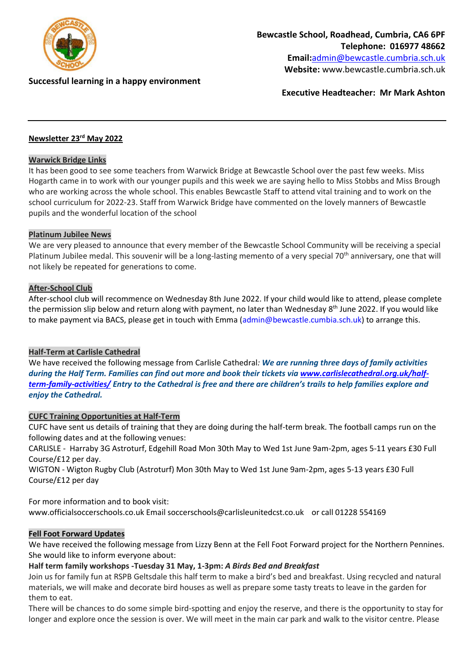

## **Successful learning in a happy environment**

**Executive Headteacher: Mr Mark Ashton**

# **Newsletter 23rd May 2022**

#### **Warwick Bridge Links**

It has been good to see some teachers from Warwick Bridge at Bewcastle School over the past few weeks. Miss Hogarth came in to work with our younger pupils and this week we are saying hello to Miss Stobbs and Miss Brough who are working across the whole school. This enables Bewcastle Staff to attend vital training and to work on the school curriculum for 2022-23. Staff from Warwick Bridge have commented on the lovely manners of Bewcastle pupils and the wonderful location of the school

#### **Platinum Jubilee News**

We are very pleased to announce that every member of the Bewcastle School Community will be receiving a special Platinum Jubilee medal. This souvenir will be a long-lasting memento of a very special 70<sup>th</sup> anniversary, one that will not likely be repeated for generations to come.

#### **After-School Club**

After-school club will recommence on Wednesday 8th June 2022. If your child would like to attend, please complete the permission slip below and return along with payment, no later than Wednesday 8<sup>th</sup> June 2022. If you would like to make payment via BACS, please get in touch with Emma (admin@bewcastle.cumbia.sch.uk) to arrange this.

#### **Half-Term at Carlisle Cathedral**

We have received the following message from Carlisle Cathedral*: We are running three days of family activities during the Half Term. Families can find out more and book their tickets via [www.carlislecathedral.org.uk/half](http://www.carlislecathedral.org.uk/half-term-family-activities/)*[term-family-activities/](http://www.carlislecathedral.org.uk/half-term-family-activities/) Entry to the Cathedral is free and there are children's trails to help families explore and *enjoy the Cathedral.*

#### **CUFC Training Opportunities at Half-Term**

CUFC have sent us details of training that they are doing during the half-term break. The football camps run on the following dates and at the following venues:

CARLISLE - Harraby 3G Astroturf, Edgehill Road Mon 30th May to Wed 1st June 9am-2pm, ages 5-11 years £30 Full Course/£12 per day.

WIGTON - Wigton Rugby Club (Astroturf) Mon 30th May to Wed 1st June 9am-2pm, ages 5-13 years £30 Full Course/£12 per day

For more information and to book visit:

www.officialsoccerschools.co.uk Email soccerschools@carlisleunitedcst.co.uk or call 01228 554169

#### **Fell Foot Forward Updates**

We have received the following message from Lizzy Benn at the Fell Foot Forward project for the Northern Pennines. She would like to inform everyone about:

#### **Half term family workshops -Tuesday 31 May, 1-3pm:** *A Birds Bed and Breakfast*

Join us for family fun at RSPB Geltsdale this half term to make a bird's bed and breakfast. Using recycled and natural materials, we will make and decorate bird houses as well as prepare some tasty treats to leave in the garden for them to eat.

There will be chances to do some simple bird-spotting and enjoy the reserve, and there is the opportunity to stay for longer and explore once the session is over. We will meet in the main car park and walk to the visitor centre. Please